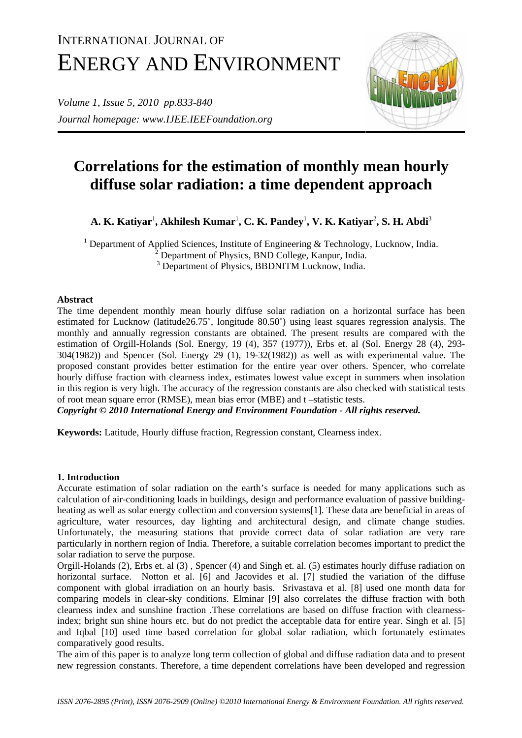# INTERNATIONAL JOURNAL OF ENERGY AND ENVIRONMENT

*Volume 1, Issue 5, 2010 pp.833-840 Journal homepage: www.IJEE.IEEFoundation.org* 



# **Correlations for the estimation of monthly mean hourly diffuse solar radiation: a time dependent approach**

**A. K. Katiyar**<sup>1</sup> **, Akhilesh Kumar**<sup>1</sup> **, C. K. Pandey**<sup>1</sup> **, V. K. Katiyar**<sup>2</sup> **, S. H. Abdi**<sup>3</sup>

<sup>1</sup> Department of Applied Sciences, Institute of Engineering & Technology, Lucknow, India. <sup>2</sup> Department of Physics, BND College, Kanpur, India. <sup>3</sup> Department of Physics, BBDNITM Lucknow, India.

# **Abstract**

The time dependent monthly mean hourly diffuse solar radiation on a horizontal surface has been estimated for Lucknow (latitude26.75˚, longitude 80.50˚) using least squares regression analysis. The monthly and annually regression constants are obtained. The present results are compared with the estimation of Orgill-Holands (Sol. Energy*,* 19 (4), 357 (1977)), Erbs et. al (Sol. Energy 28 (4), 293- 304(1982)) and Spencer (Sol. Energy 29 (1), 19-32(1982)) as well as with experimental value. The proposed constant provides better estimation for the entire year over others. Spencer, who correlate hourly diffuse fraction with clearness index, estimates lowest value except in summers when insolation in this region is very high. The accuracy of the regression constants are also checked with statistical tests of root mean square error (RMSE), mean bias error (MBE) and t –statistic tests.

*Copyright © 2010 International Energy and Environment Foundation - All rights reserved.*

**Keywords:** Latitude, Hourly diffuse fraction, Regression constant, Clearness index.

# **1. Introduction**

Accurate estimation of solar radiation on the earth's surface is needed for many applications such as calculation of air-conditioning loads in buildings, design and performance evaluation of passive buildingheating as well as solar energy collection and conversion systems[1]. These data are beneficial in areas of agriculture, water resources, day lighting and architectural design, and climate change studies. Unfortunately, the measuring stations that provide correct data of solar radiation are very rare particularly in northern region of India. Therefore, a suitable correlation becomes important to predict the solar radiation to serve the purpose.

Orgill-Holands (2), Erbs et. al (3) , Spencer (4) and Singh et. al. (5) estimates hourly diffuse radiation on horizontal surface. Notton et al. [6] and Jacovides et al. [7] studied the variation of the diffuse component with global irradiation on an hourly basis. Srivastava et al. [8] used one month data for comparing models in clear-sky conditions. Elminar [9] also correlates the diffuse fraction with both clearness index and sunshine fraction .These correlations are based on diffuse fraction with clearnessindex; bright sun shine hours etc. but do not predict the acceptable data for entire year. Singh et al. [5] and Iqbal [10] used time based correlation for global solar radiation, which fortunately estimates comparatively good results.

The aim of this paper is to analyze long term collection of global and diffuse radiation data and to present new regression constants. Therefore, a time dependent correlations have been developed and regression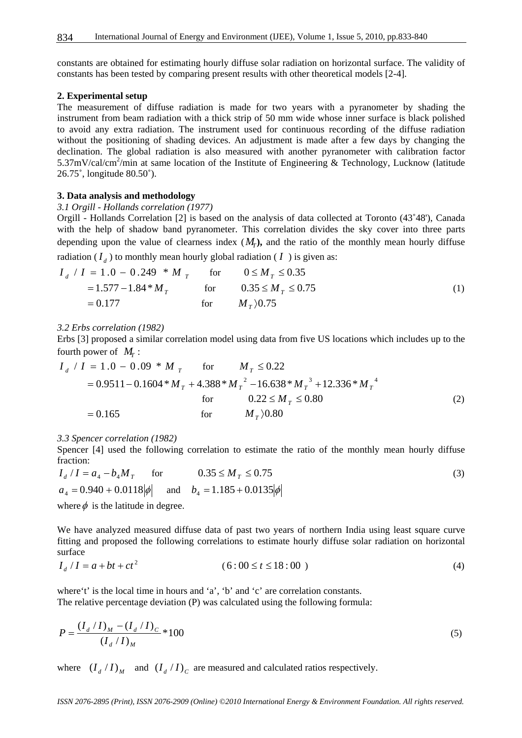constants are obtained for estimating hourly diffuse solar radiation on horizontal surface. The validity of constants has been tested by comparing present results with other theoretical models [2-4].

#### **2. Experimental setup**

The measurement of diffuse radiation is made for two years with a pyranometer by shading the instrument from beam radiation with a thick strip of 50 mm wide whose inner surface is black polished to avoid any extra radiation. The instrument used for continuous recording of the diffuse radiation without the positioning of shading devices. An adjustment is made after a few days by changing the declination. The global radiation is also measured with another pyranometer with calibration factor 5.37mV/cal/cm<sup>2</sup>/min at same location of the Institute of Engineering & Technology, Lucknow (latitude 26.75˚, longitude 80.50˚).

#### **3. Data analysis and methodology**

#### *3.1 Orgill - Hollands correlation (1977)*

Orgill - Hollands Correlation [2] is based on the analysis of data collected at Toronto (43˚48'), Canada with the help of shadow band pyranometer. This correlation divides the sky cover into three parts depending upon the value of clearness index  $(M_r)$ , and the ratio of the monthly mean hourly diffuse

radiation  $(I_d)$  to monthly mean hourly global radiation ( $I$ ) is given as:

$$
I_d / I = 1.0 - 0.249 * M_T \quad \text{for} \quad 0 \le M_T \le 0.35
$$
  
= 1.577 - 1.84 \* M\_T \quad \text{for} \quad 0.35 \le M\_T \le 0.75  
= 0.177 \quad \text{for} \quad M\_T \rangle 0.75 \tag{1}

#### *3.2 Erbs correlation (1982)*

Erbs [3] proposed a similar correlation model using data from five US locations which includes up to the fourth power of  $M_r$ :

$$
I_d / I = 1.0 - 0.09 * M_T \quad \text{for} \quad M_T \le 0.22
$$
  
= 0.9511 - 0.1604 \* M\_T + 4.388 \* M\_T<sup>2</sup> - 16.638 \* M\_T<sup>3</sup> + 12.336 \* M\_T<sup>4</sup>  
for \quad 0.22 \le M\_T \le 0.80  
= 0.165 \quad \text{for} \quad M\_T \rangle 0.80 \quad (2)

#### *3.3 Spencer correlation (1982)*

Spencer [4] used the following correlation to estimate the ratio of the monthly mean hourly diffuse fraction:

$$
I_d / I = a_4 - b_4 M_T \quad \text{for} \quad 0.35 \le M_T \le 0.75
$$
  
\n
$$
a_4 = 0.940 + 0.0118 |\phi| \quad \text{and} \quad b_4 = 1.185 + 0.0135 |\phi|
$$
  
\nwhere  $\phi$  is the letting in degree

where  $\phi$  is the latitude in degree.

We have analyzed measured diffuse data of past two years of northern India using least square curve fitting and proposed the following correlations to estimate hourly diffuse solar radiation on horizontal surface

$$
I_d / I = a + bt + ct^2 \tag{4}
$$

where't' is the local time in hours and 'a', 'b' and 'c' are correlation constants. The relative percentage deviation (P) was calculated using the following formula:

$$
P = \frac{(I_d / I)_M - (I_d / I)_C}{(I_d / I)_M} * 100
$$
\n(5)

where  $(I_d / I)_M$  and  $(I_d / I)_c$  are measured and calculated ratios respectively.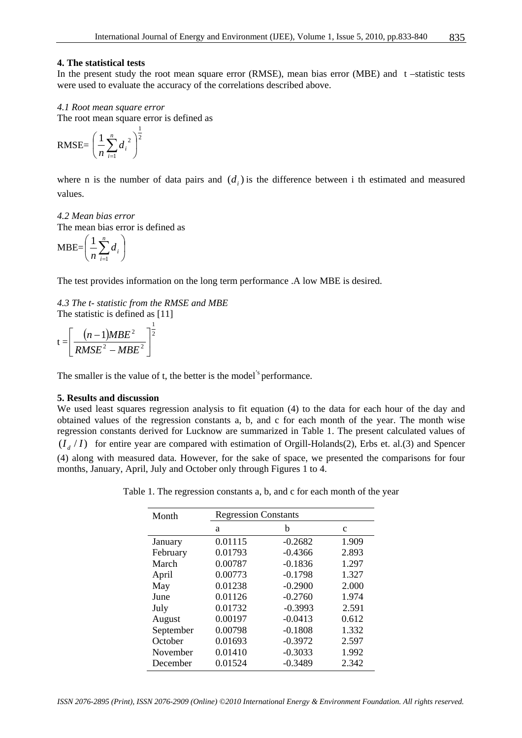### **4. The statistical tests**

In the present study the root mean square error (RMSE), mean bias error (MBE) and  $t$  –statistic tests were used to evaluate the accuracy of the correlations described above.

### *4.1 Root mean square error*

The root mean square error is defined as 1

$$
\text{RMSE} = \left(\frac{1}{n}\sum_{i=1}^{n} d_i^2\right)^{\frac{1}{2}}
$$

where n is the number of data pairs and  $(d_i)$  is the difference between i th estimated and measured values.

# *4.2 Mean bias error*

The mean bias error is defined as

$$
MBE = \left(\frac{1}{n}\sum_{i=1}^{n}d_i\right)
$$

The test provides information on the long term performance .A low MBE is desired.

*4.3 The t- statistic from the RMSE and MBE*  The statistic is defined as [11]

$$
t = \left[\frac{(n-1)MBE^2}{RMSE^2 - MBE^2}\right]^{\frac{1}{2}}
$$

The smaller is the value of t, the better is the model<sup>'s</sup> performance.

## **5. Results and discussion**

We used least squares regression analysis to fit equation (4) to the data for each hour of the day and obtained values of the regression constants a, b, and c for each month of the year. The month wise regression constants derived for Lucknow are summarized in Table 1. The present calculated values of  $(I_d/I)$  for entire year are compared with estimation of Orgill-Holands(2), Erbs et. al.(3) and Spencer (4) along with measured data. However, for the sake of space, we presented the comparisons for four months, January, April, July and October only through Figures 1 to 4.

Table 1. The regression constants a, b, and c for each month of the year

| Month     | <b>Regression Constants</b> |           |       |  |  |  |  |
|-----------|-----------------------------|-----------|-------|--|--|--|--|
|           | a                           | b         | c     |  |  |  |  |
| January   | 0.01115                     | $-0.2682$ | 1.909 |  |  |  |  |
| February  | 0.01793                     | $-0.4366$ | 2.893 |  |  |  |  |
| March     | 0.00787                     | $-0.1836$ | 1.297 |  |  |  |  |
| April     | 0.00773                     | $-0.1798$ | 1.327 |  |  |  |  |
| May       | 0.01238                     | $-0.2900$ | 2.000 |  |  |  |  |
| June      | 0.01126                     | $-0.2760$ | 1.974 |  |  |  |  |
| July      | 0.01732                     | $-0.3993$ | 2.591 |  |  |  |  |
| August    | 0.00197                     | $-0.0413$ | 0.612 |  |  |  |  |
| September | 0.00798                     | $-0.1808$ | 1.332 |  |  |  |  |
| October   | 0.01693                     | $-0.3972$ | 2.597 |  |  |  |  |
| November  | 0.01410                     | $-0.3033$ | 1.992 |  |  |  |  |
| December  | 0.01524                     | $-0.3489$ | 2.342 |  |  |  |  |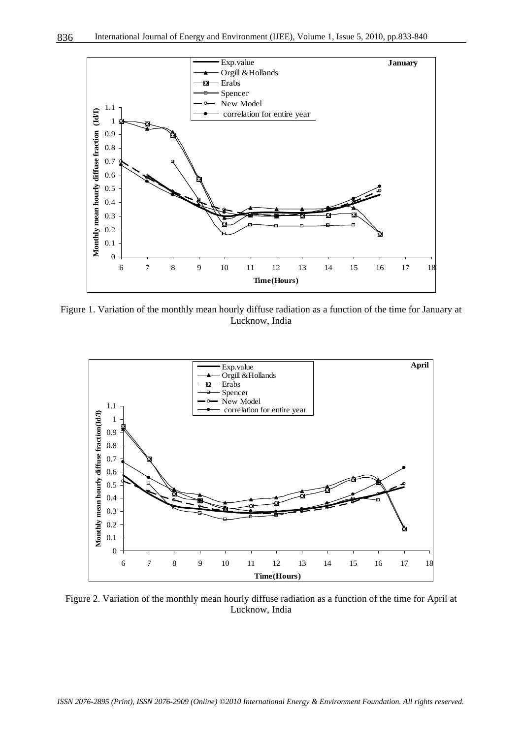

Figure 1. Variation of the monthly mean hourly diffuse radiation as a function of the time for January at Lucknow, India



Figure 2. Variation of the monthly mean hourly diffuse radiation as a function of the time for April at Lucknow, India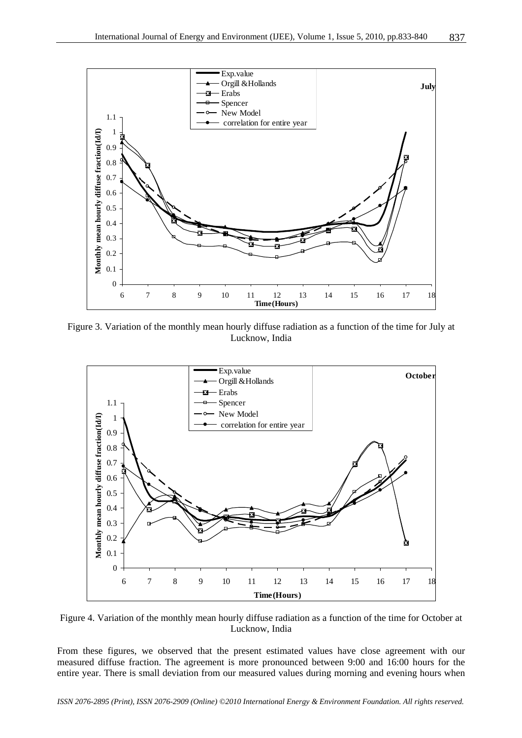

Figure 3. Variation of the monthly mean hourly diffuse radiation as a function of the time for July at Lucknow, India



Figure 4. Variation of the monthly mean hourly diffuse radiation as a function of the time for October at Lucknow, India

From these figures, we observed that the present estimated values have close agreement with our measured diffuse fraction. The agreement is more pronounced between 9:00 and 16:00 hours for the entire year. There is small deviation from our measured values during morning and evening hours when

*ISSN 2076-2895 (Print), ISSN 2076-2909 (Online) ©2010 International Energy & Environment Foundation. All rights reserved.*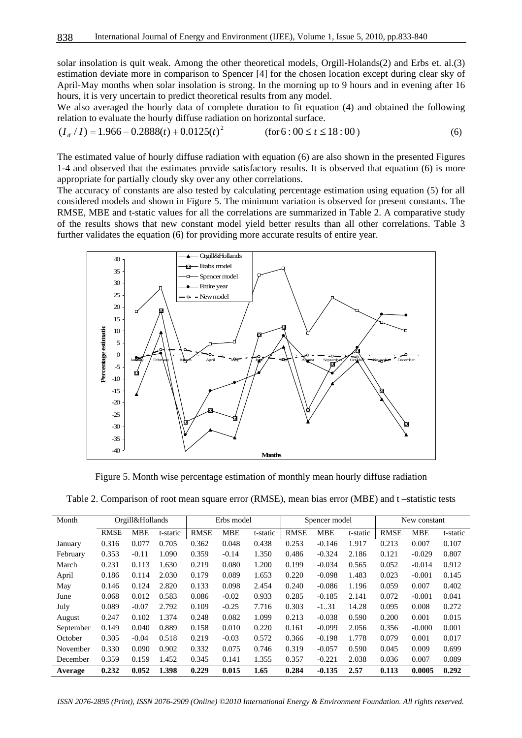solar insolation is quit weak. Among the other theoretical models, Orgill-Holands(2) and Erbs et. al.(3) estimation deviate more in comparison to Spencer [4] for the chosen location except during clear sky of April-May months when solar insolation is strong. In the morning up to 9 hours and in evening after 16 hours, it is very uncertain to predict theoretical results from any model.

We also averaged the hourly data of complete duration to fit equation (4) and obtained the following relation to evaluate the hourly diffuse radiation on horizontal surface.

$$
(I_d / I) = 1.966 - 0.2888(t) + 0.0125(t)^2
$$
 (for 6 : 00 \le t \le 18 : 00) (6)

The estimated value of hourly diffuse radiation with equation (6) are also shown in the presented Figures 1-4 and observed that the estimates provide satisfactory results. It is observed that equation (6) is more appropriate for partially cloudy sky over any other correlations.

The accuracy of constants are also tested by calculating percentage estimation using equation (5) for all considered models and shown in Figure 5. The minimum variation is observed for present constants. The RMSE, MBE and t-static values for all the correlations are summarized in Table 2. A comparative study of the results shows that new constant model yield better results than all other correlations. Table 3 further validates the equation (6) for providing more accurate results of entire year.



Figure 5. Month wise percentage estimation of monthly mean hourly diffuse radiation

| Table 2. Comparison of root mean square error (RMSE), mean bias error (MBE) and t-statistic tests |  |  |  |  |  |  |
|---------------------------------------------------------------------------------------------------|--|--|--|--|--|--|
|---------------------------------------------------------------------------------------------------|--|--|--|--|--|--|

| Month     |             | Orgill&Hollands |          | Erbs model  |            | Spencer model |             | New constant |          |             |            |          |
|-----------|-------------|-----------------|----------|-------------|------------|---------------|-------------|--------------|----------|-------------|------------|----------|
|           | <b>RMSE</b> | <b>MBE</b>      | t-static | <b>RMSE</b> | <b>MBE</b> | t-static      | <b>RMSE</b> | <b>MBE</b>   | t-static | <b>RMSE</b> | <b>MBE</b> | t-static |
| January   | 0.316       | 0.077           | 0.705    | 0.362       | 0.048      | 0.438         | 0.253       | $-0.146$     | 1.917    | 0.213       | 0.007      | 0.107    |
| February  | 0.353       | $-0.11$         | 1.090    | 0.359       | $-0.14$    | 1.350         | 0.486       | $-0.324$     | 2.186    | 0.121       | $-0.029$   | 0.807    |
| March     | 0.231       | 0.113           | 1.630    | 0.219       | 0.080      | 1.200         | 0.199       | $-0.034$     | 0.565    | 0.052       | $-0.014$   | 0.912    |
| April     | 0.186       | 0.114           | 2.030    | 0.179       | 0.089      | 1.653         | 0.220       | $-0.098$     | 1.483    | 0.023       | $-0.001$   | 0.145    |
| May       | 0.146       | 0.124           | 2.820    | 0.133       | 0.098      | 2.454         | 0.240       | $-0.086$     | 1.196    | 0.059       | 0.007      | 0.402    |
| June      | 0.068       | 0.012           | 0.583    | 0.086       | $-0.02$    | 0.933         | 0.285       | $-0.185$     | 2.141    | 0.072       | $-0.001$   | 0.041    |
| July      | 0.089       | $-0.07$         | 2.792    | 0.109       | $-0.25$    | 7.716         | 0.303       | $-131$       | 14.28    | 0.095       | 0.008      | 0.272    |
| August    | 0.247       | 0.102           | 1.374    | 0.248       | 0.082      | 1.099         | 0.213       | $-0.038$     | 0.590    | 0.200       | 0.001      | 0.015    |
| September | 0.149       | 0.040           | 0.889    | 0.158       | 0.010      | 0.220         | 0.161       | $-0.099$     | 2.056    | 0.356       | $-0.000$   | 0.001    |
| October   | 0.305       | $-0.04$         | 0.518    | 0.219       | $-0.03$    | 0.572         | 0.366       | $-0.198$     | 1.778    | 0.079       | 0.001      | 0.017    |
| November  | 0.330       | 0.090           | 0.902    | 0.332       | 0.075      | 0.746         | 0.319       | $-0.057$     | 0.590    | 0.045       | 0.009      | 0.699    |
| December  | 0.359       | 0.159           | 1.452    | 0.345       | 0.141      | 1.355         | 0.357       | $-0.221$     | 2.038    | 0.036       | 0.007      | 0.089    |
| Average   | 0.232       | 0.052           | 1.398    | 0.229       | 0.015      | 1.65          | 0.284       | $-0.135$     | 2.57     | 0.113       | 0.0005     | 0.292    |

*ISSN 2076-2895 (Print), ISSN 2076-2909 (Online) ©2010 International Energy & Environment Foundation. All rights reserved.*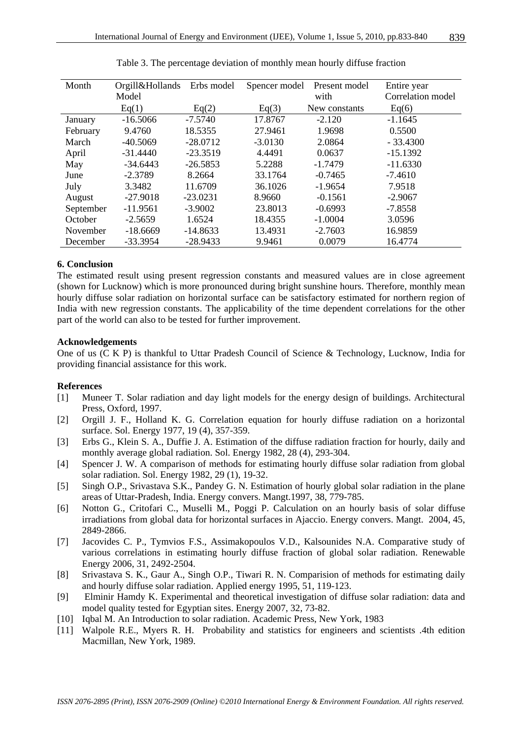| Month     | Orgill&Hollands | Erbs model | Spencer model | Present model | Entire year       |
|-----------|-----------------|------------|---------------|---------------|-------------------|
|           | Model           |            |               | with          | Correlation model |
|           | Eq(1)           | Eq(2)      | Eq(3)         | New constants | Eq(6)             |
| January   | $-16.5066$      | $-7.5740$  | 17.8767       | $-2.120$      | $-1.1645$         |
| February  | 9.4760          | 18.5355    | 27.9461       | 1.9698        | 0.5500            |
| March     | $-40.5069$      | $-28.0712$ | $-3.0130$     | 2.0864        | $-33.4300$        |
| April     | $-31.4440$      | $-23.3519$ | 4.4491        | 0.0637        | $-15.1392$        |
| May       | $-34.6443$      | $-26.5853$ | 5.2288        | $-1.7479$     | $-11.6330$        |
| June      | $-2.3789$       | 8.2664     | 33.1764       | $-0.7465$     | $-7.4610$         |
| July      | 3.3482          | 11.6709    | 36.1026       | $-1.9654$     | 7.9518            |
| August    | $-27.9018$      | $-23.0231$ | 8.9660        | $-0.1561$     | $-2.9067$         |
| September | $-11.9561$      | $-3.9002$  | 23.8013       | $-0.6993$     | $-7.8558$         |
| October   | $-2.5659$       | 1.6524     | 18.4355       | $-1.0004$     | 3.0596            |
| November  | $-18.6669$      | $-14.8633$ | 13.4931       | $-2.7603$     | 16.9859           |
| December  | $-33.3954$      | $-28.9433$ | 9.9461        | 0.0079        | 16.4774           |

Table 3. The percentage deviation of monthly mean hourly diffuse fraction

# **6. Conclusion**

The estimated result using present regression constants and measured values are in close agreement (shown for Lucknow) which is more pronounced during bright sunshine hours. Therefore, monthly mean hourly diffuse solar radiation on horizontal surface can be satisfactory estimated for northern region of India with new regression constants. The applicability of the time dependent correlations for the other part of the world can also to be tested for further improvement.

#### **Acknowledgements**

One of us (C K P) is thankful to Uttar Pradesh Council of Science & Technology, Lucknow, India for providing financial assistance for this work.

#### **References**

- [1] Muneer T. Solar radiation and day light models for the energy design of buildings. Architectural Press, Oxford, 1997.
- [2] Orgill J. F., Holland K. G. Correlation equation for hourly diffuse radiation on a horizontal surface. Sol. Energy 1977, 19 (4), 357-359.
- [3] Erbs G., Klein S. A., Duffie J. A. Estimation of the diffuse radiation fraction for hourly, daily and monthly average global radiation. Sol. Energy 1982, 28 (4), 293-304.
- [4] Spencer J. W. A comparison of methods for estimating hourly diffuse solar radiation from global solar radiation. Sol. Energy 1982, 29 (1), 19-32.
- [5] Singh O.P., Srivastava S.K., Pandey G. N. Estimation of hourly global solar radiation in the plane areas of Uttar-Pradesh, India. Energy convers. Mangt.1997, 38, 779-785.
- [6] Notton G., Critofari C., Muselli M., Poggi P. Calculation on an hourly basis of solar diffuse irradiations from global data for horizontal surfaces in Ajaccio. Energy convers. Mangt. 2004, 45, 2849-2866.
- [7] Jacovides C. P., Tymvios F.S., Assimakopoulos V.D., Kalsounides N.A. Comparative study of various correlations in estimating hourly diffuse fraction of global solar radiation. Renewable Energy 2006, 31, 2492-2504.
- [8] Srivastava S. K., Gaur A., Singh O.P., Tiwari R. N. Comparision of methods for estimating daily and hourly diffuse solar radiation. Applied energy 1995, 51, 119-123.
- [9] Elminir Hamdy K. Experimental and theoretical investigation of diffuse solar radiation: data and model quality tested for Egyptian sites. Energy 2007, 32, 73-82.
- [10] Iqbal M. An Introduction to solar radiation. Academic Press, New York, 1983
- [11] Walpole R.E., Myers R. H. Probability and statistics for engineers and scientists .4th edition Macmillan, New York, 1989.